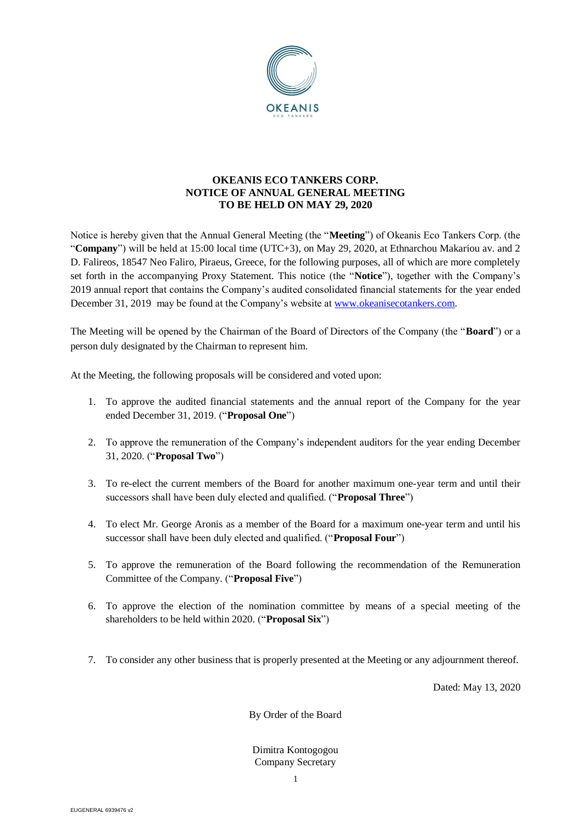

# **OKEANIS ECO TANKERS CORP. NOTICE OF ANNUAL GENERAL MEETING TO BE HELD ON MAY 29, 2020**

Notice is hereby given that the Annual General Meeting (the "**Meeting**") of Okeanis Eco Tankers Corp. (the "**Company**") will be held at 15:00 local time (UTC+3), on May 29, 2020, at Ethnarchou Makariou av. and 2 D. Falireos, 18547 Neo Faliro, Piraeus, Greece, for the following purposes, all of which are more completely set forth in the accompanying Proxy Statement. This notice (the "**Notice**"), together with the Company's 2019 annual report that contains the Company's audited consolidated financial statements for the year ended December 31, 2019 may be found at the Company's website at [www.okeanisecotankers.com.](http://www.okeanisecotankers.com/)

The Meeting will be opened by the Chairman of the Board of Directors of the Company (the "**Board**") or a person duly designated by the Chairman to represent him.

At the Meeting, the following proposals will be considered and voted upon:

- 1. To approve the audited financial statements and the annual report of the Company for the year ended December 31, 2019. ("**Proposal One**")
- 2. To approve the remuneration of the Company's independent auditors for the year ending December 31, 2020. ("**Proposal Two**")
- 3. To re-elect the current members of the Board for another maximum one-year term and until their successors shall have been duly elected and qualified. ("**Proposal Three**")
- 4. To elect Mr. George Aronis as a member of the Board for a maximum one-year term and until his successor shall have been duly elected and qualified. ("**Proposal Four**")
- 5. To approve the remuneration of the Board following the recommendation of the Remuneration Committee of the Company. ("**Proposal Five**")
- 6. To approve the election of the nomination committee by means of a special meeting of the shareholders to be held within 2020. ("**Proposal Six**")
- 7. To consider any other business that is properly presented at the Meeting or any adjournment thereof.

Dated: May 13, 2020

By Order of the Board

Dimitra Kontogogou Company Secretary

1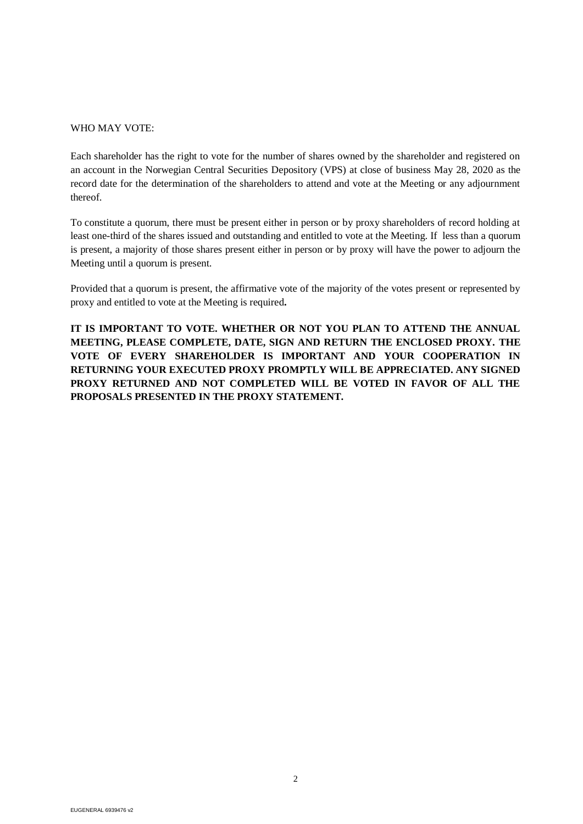#### WHO MAY VOTE:

Each shareholder has the right to vote for the number of shares owned by the shareholder and registered on an account in the Norwegian Central Securities Depository (VPS) at close of business May 28, 2020 as the record date for the determination of the shareholders to attend and vote at the Meeting or any adjournment thereof.

To constitute a quorum, there must be present either in person or by proxy shareholders of record holding at least one-third of the shares issued and outstanding and entitled to vote at the Meeting. If less than a quorum is present, a majority of those shares present either in person or by proxy will have the power to adjourn the Meeting until a quorum is present.

Provided that a quorum is present, the affirmative vote of the majority of the votes present or represented by proxy and entitled to vote at the Meeting is required**.**

**IT IS IMPORTANT TO VOTE. WHETHER OR NOT YOU PLAN TO ATTEND THE ANNUAL MEETING, PLEASE COMPLETE, DATE, SIGN AND RETURN THE ENCLOSED PROXY. THE VOTE OF EVERY SHAREHOLDER IS IMPORTANT AND YOUR COOPERATION IN RETURNING YOUR EXECUTED PROXY PROMPTLY WILL BE APPRECIATED. ANY SIGNED PROXY RETURNED AND NOT COMPLETED WILL BE VOTED IN FAVOR OF ALL THE PROPOSALS PRESENTED IN THE PROXY STATEMENT.**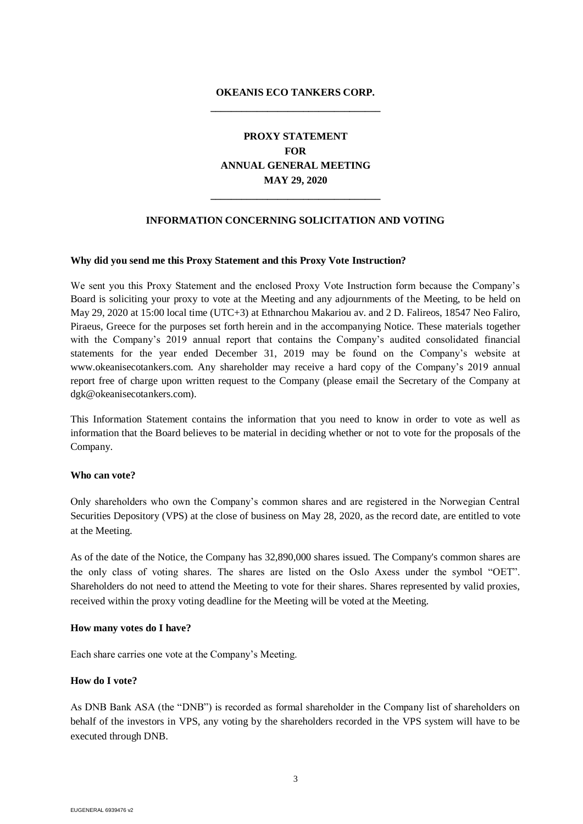# **OKEANIS ECO TANKERS CORP. \_\_\_\_\_\_\_\_\_\_\_\_\_\_\_\_\_\_\_\_\_\_\_\_\_\_\_\_\_\_\_\_\_**

# **PROXY STATEMENT FOR ANNUAL GENERAL MEETING MAY 29, 2020**

## **INFORMATION CONCERNING SOLICITATION AND VOTING**

**\_\_\_\_\_\_\_\_\_\_\_\_\_\_\_\_\_\_\_\_\_\_\_\_\_\_\_\_\_\_\_\_\_**

#### **Why did you send me this Proxy Statement and this Proxy Vote Instruction?**

We sent you this Proxy Statement and the enclosed Proxy Vote Instruction form because the Company's Board is soliciting your proxy to vote at the Meeting and any adjournments of the Meeting, to be held on May 29, 2020 at 15:00 local time (UTC+3) at Ethnarchou Makariou av. and 2 D. Falireos, 18547 Neo Faliro, Piraeus, Greece for the purposes set forth herein and in the accompanying Notice. These materials together with the Company's 2019 annual report that contains the Company's audited consolidated financial statements for the year ended December 31, 2019 may be found on the Company's website at www.okeanisecotankers.com. Any shareholder may receive a hard copy of the Company's 2019 annual report free of charge upon written request to the Company (please email the Secretary of the Company at dgk@okeanisecotankers.com).

This Information Statement contains the information that you need to know in order to vote as well as information that the Board believes to be material in deciding whether or not to vote for the proposals of the Company.

#### **Who can vote?**

Only shareholders who own the Company's common shares and are registered in the Norwegian Central Securities Depository (VPS) at the close of business on May 28, 2020, as the record date, are entitled to vote at the Meeting.

As of the date of the Notice, the Company has 32,890,000 shares issued. The Company's common shares are the only class of voting shares. The shares are listed on the Oslo Axess under the symbol "OET". Shareholders do not need to attend the Meeting to vote for their shares. Shares represented by valid proxies, received within the proxy voting deadline for the Meeting will be voted at the Meeting.

#### **How many votes do I have?**

Each share carries one vote at the Company's Meeting.

#### **How do I vote?**

As DNB Bank ASA (the "DNB") is recorded as formal shareholder in the Company list of shareholders on behalf of the investors in VPS, any voting by the shareholders recorded in the VPS system will have to be executed through DNB.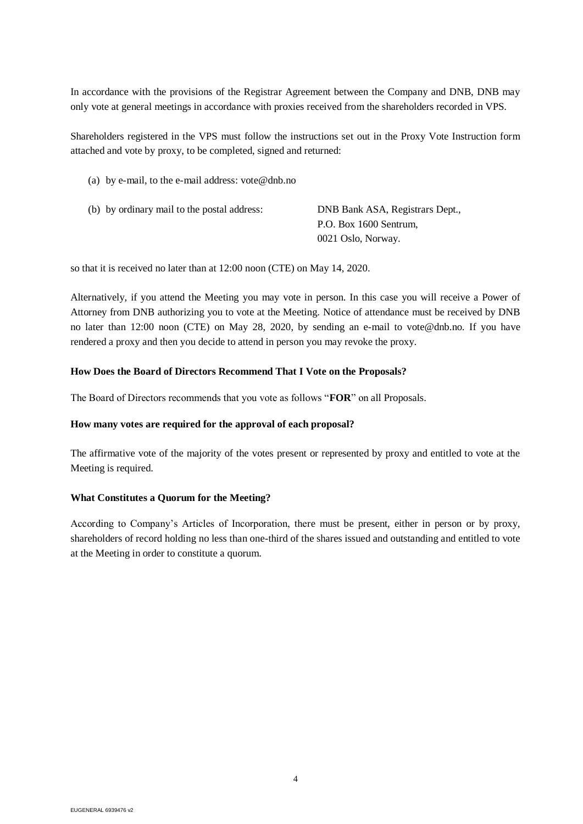In accordance with the provisions of the Registrar Agreement between the Company and DNB, DNB may only vote at general meetings in accordance with proxies received from the shareholders recorded in VPS.

Shareholders registered in the VPS must follow the instructions set out in the Proxy Vote Instruction form attached and vote by proxy, to be completed, signed and returned:

(a) by e-mail, to the e-mail address: [vote@dnb.no](mailto:vote@dnb.no)

| (b) by ordinary mail to the postal address: | DNB Bank ASA, Registrars Dept., |
|---------------------------------------------|---------------------------------|
|                                             | P.O. Box 1600 Sentrum,          |
|                                             | 0021 Oslo, Norway.              |

so that it is received no later than at 12:00 noon (CTE) on May 14, 2020.

Alternatively, if you attend the Meeting you may vote in person. In this case you will receive a Power of Attorney from DNB authorizing you to vote at the Meeting. Notice of attendance must be received by DNB no later than 12:00 noon (CTE) on May 28, 2020, by sending an e-mail to [vote@dnb.no.](mailto:vote@dnb.no) If you have rendered a proxy and then you decide to attend in person you may revoke the proxy.

#### **How Does the Board of Directors Recommend That I Vote on the Proposals?**

The Board of Directors recommends that you vote as follows "**FOR**" on all Proposals.

#### **How many votes are required for the approval of each proposal?**

The affirmative vote of the majority of the votes present or represented by proxy and entitled to vote at the Meeting is required.

#### **What Constitutes a Quorum for the Meeting?**

According to Company's Articles of Incorporation, there must be present, either in person or by proxy, shareholders of record holding no less than one-third of the shares issued and outstanding and entitled to vote at the Meeting in order to constitute a quorum.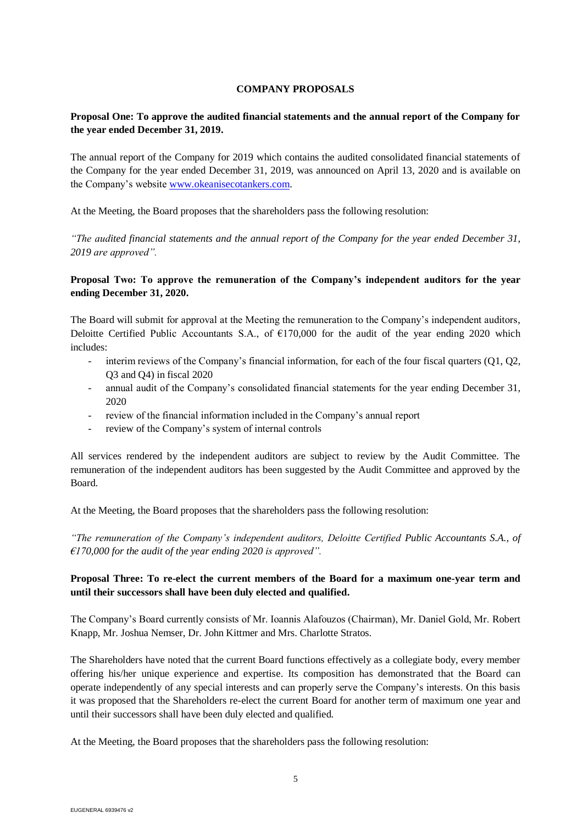## **COMPANY PROPOSALS**

# **Proposal One: To approve the audited financial statements and the annual report of the Company for the year ended December 31, 2019.**

The annual report of the Company for 2019 which contains the audited consolidated financial statements of the Company for the year ended December 31, 2019, was announced on April 13, 2020 and is available on the Company's website [www.okeanisecotankers.com.](http://www.okeanisecotankers.com/)

At the Meeting, the Board proposes that the shareholders pass the following resolution:

*"The audited financial statements and the annual report of the Company for the year ended December 31, 2019 are approved".*

## **Proposal Two: To approve the remuneration of the Company's independent auditors for the year ending December 31, 2020.**

The Board will submit for approval at the Meeting the remuneration to the Company's independent auditors, Deloitte Certified Public Accountants S.A., of €170,000 for the audit of the year ending 2020 which includes:

- interim reviews of the Company's financial information, for each of the four fiscal quarters  $(01, 02, 03)$ Q3 and Q4) in fiscal 2020
- annual audit of the Company's consolidated financial statements for the year ending December 31, 2020
- review of the financial information included in the Company's annual report
- review of the Company's system of internal controls

All services rendered by the independent auditors are subject to review by the Audit Committee. The remuneration of the independent auditors has been suggested by the Audit Committee and approved by the Board.

At the Meeting, the Board proposes that the shareholders pass the following resolution:

*"The remuneration of the Company's independent auditors, Deloitte Certified Public Accountants S.A., of €170,000 for the audit of the year ending 2020 is approved".*

## **Proposal Three: To re-elect the current members of the Board for a maximum one-year term and until their successors shall have been duly elected and qualified.**

The Company's Board currently consists of Mr. Ioannis Alafouzos (Chairman), Mr. Daniel Gold, Mr. Robert Knapp, Mr. Joshua Nemser, Dr. John Kittmer and Mrs. Charlotte Stratos.

The Shareholders have noted that the current Board functions effectively as a collegiate body, every member offering his/her unique experience and expertise. Its composition has demonstrated that the Board can operate independently of any special interests and can properly serve the Company's interests. On this basis it was proposed that the Shareholders re-elect the current Board for another term of maximum one year and until their successors shall have been duly elected and qualified.

At the Meeting, the Board proposes that the shareholders pass the following resolution: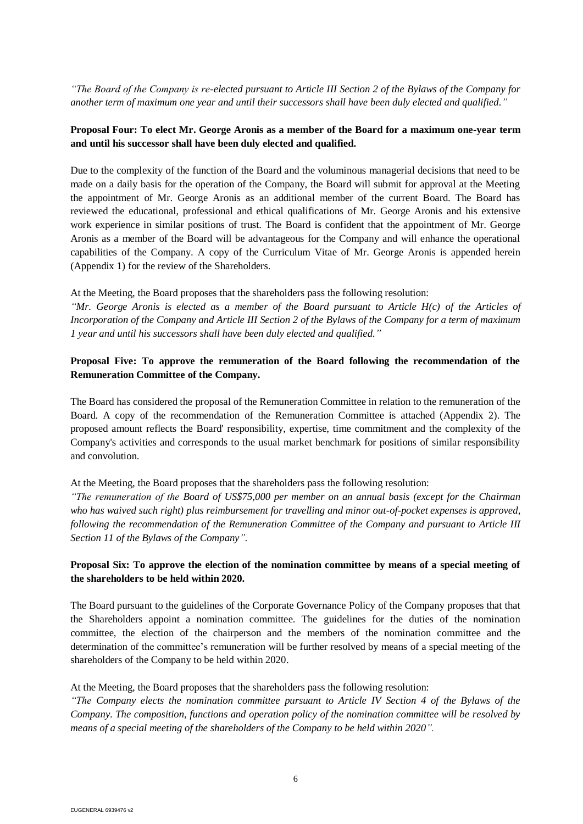*"The Board of the Company is re-elected pursuant to Article III Section 2 of the Bylaws of the Company for another term of maximum one year and until their successors shall have been duly elected and qualified."*

## **Proposal Four: To elect Mr. George Aronis as a member of the Board for a maximum one-year term and until his successor shall have been duly elected and qualified.**

Due to the complexity of the function of the Board and the voluminous managerial decisions that need to be made on a daily basis for the operation of the Company, the Board will submit for approval at the Meeting the appointment of Mr. George Aronis as an additional member of the current Board. The Board has reviewed the educational, professional and ethical qualifications of Mr. George Aronis and his extensive work experience in similar positions of trust. The Board is confident that the appointment of Mr. George Aronis as a member of the Board will be advantageous for the Company and will enhance the operational capabilities of the Company. A copy of the Curriculum Vitae of Mr. George Aronis is appended herein (Appendix 1) for the review of the Shareholders.

At the Meeting, the Board proposes that the shareholders pass the following resolution: *"Mr. George Aronis is elected as a member of the Board pursuant to Article H(c) of the Articles of Incorporation of the Company and Article III Section 2 of the Bylaws of the Company for a term of maximum 1 year and until his successors shall have been duly elected and qualified."*

# **Proposal Five: To approve the remuneration of the Board following the recommendation of the Remuneration Committee of the Company.**

The Board has considered the proposal of the Remuneration Committee in relation to the remuneration of the Board. A copy of the recommendation of the Remuneration Committee is attached (Appendix 2). The proposed amount reflects the Board' responsibility, expertise, time commitment and the complexity of the Company's activities and corresponds to the usual market benchmark for positions of similar responsibility and convolution.

At the Meeting, the Board proposes that the shareholders pass the following resolution:

*"The remuneration of the Board of US\$75,000 per member on an annual basis (except for the Chairman who has waived such right) plus reimbursement for travelling and minor out-of-pocket expenses is approved, following the recommendation of the Remuneration Committee of the Company and pursuant to Article III Section 11 of the Bylaws of the Company".*

## **Proposal Six: To approve the election of the nomination committee by means of a special meeting of the shareholders to be held within 2020.**

The Board pursuant to the guidelines of the Corporate Governance Policy of the Company proposes that that the Shareholders appoint a nomination committee. The guidelines for the duties of the nomination committee, the election of the chairperson and the members of the nomination committee and the determination of the committee's remuneration will be further resolved by means of a special meeting of the shareholders of the Company to be held within 2020.

At the Meeting, the Board proposes that the shareholders pass the following resolution:

*"The Company elects the nomination committee pursuant to Article IV Section 4 of the Bylaws of the Company. The composition, functions and operation policy of the nomination committee will be resolved by means of a special meeting of the shareholders of the Company to be held within 2020".*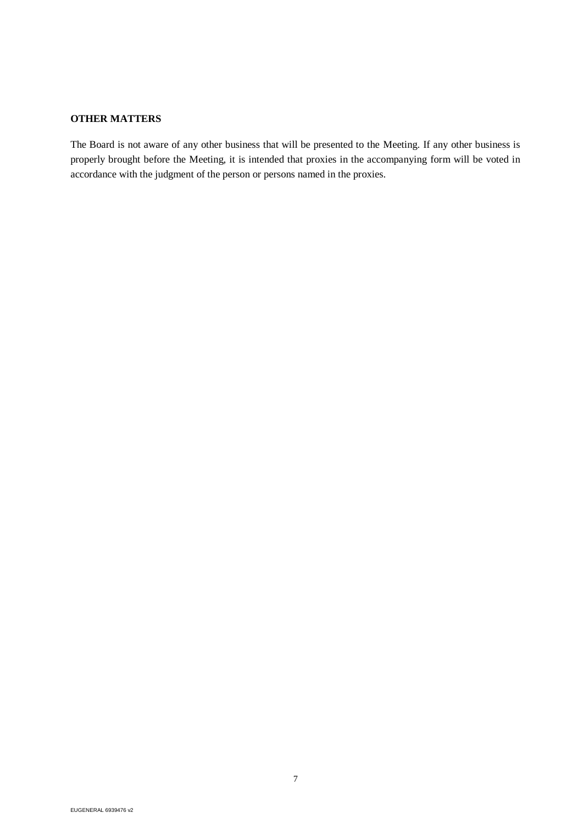# **OTHER MATTERS**

The Board is not aware of any other business that will be presented to the Meeting. If any other business is properly brought before the Meeting, it is intended that proxies in the accompanying form will be voted in accordance with the judgment of the person or persons named in the proxies.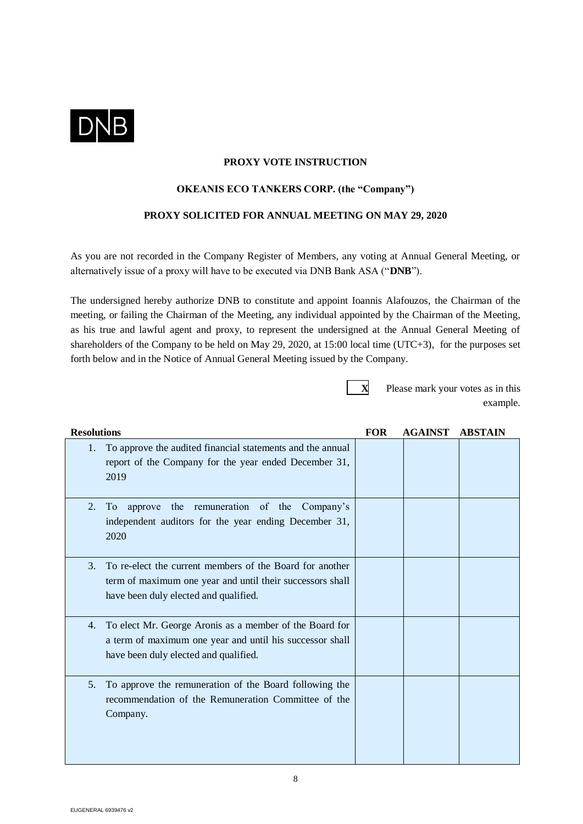

## **PROXY VOTE INSTRUCTION**

## **OKEANIS ECO TANKERS CORP. (the "Company")**

## **PROXY SOLICITED FOR ANNUAL MEETING ON MAY 29, 2020**

As you are not recorded in the Company Register of Members, any voting at Annual General Meeting, or alternatively issue of a proxy will have to be executed via DNB Bank ASA ("**DNB**").

The undersigned hereby authorize DNB to constitute and appoint Ioannis Alafouzos, the Chairman of the meeting, or failing the Chairman of the Meeting, any individual appointed by the Chairman of the Meeting, as his true and lawful agent and proxy, to represent the undersigned at the Annual General Meeting of shareholders of the Company to be held on May 29, 2020, at 15:00 local time (UTC+3), for the purposes set forth below and in the Notice of Annual General Meeting issued by the Company.

**X** Please mark your votes as in this example.

| <b>Resolutions</b>                                                                                                                                                   | <b>FOR</b> | <b>AGAINST</b> | <b>ABSTAIN</b> |
|----------------------------------------------------------------------------------------------------------------------------------------------------------------------|------------|----------------|----------------|
| To approve the audited financial statements and the annual<br>1.<br>report of the Company for the year ended December 31,<br>2019                                    |            |                |                |
| the remuneration of the<br>2.<br>approve<br>Company's<br>To.<br>independent auditors for the year ending December 31,<br>2020                                        |            |                |                |
| To re-elect the current members of the Board for another<br>3.<br>term of maximum one year and until their successors shall<br>have been duly elected and qualified. |            |                |                |
| To elect Mr. George Aronis as a member of the Board for<br>4.<br>a term of maximum one year and until his successor shall<br>have been duly elected and qualified.   |            |                |                |
| To approve the remuneration of the Board following the<br>5.<br>recommendation of the Remuneration Committee of the<br>Company.                                      |            |                |                |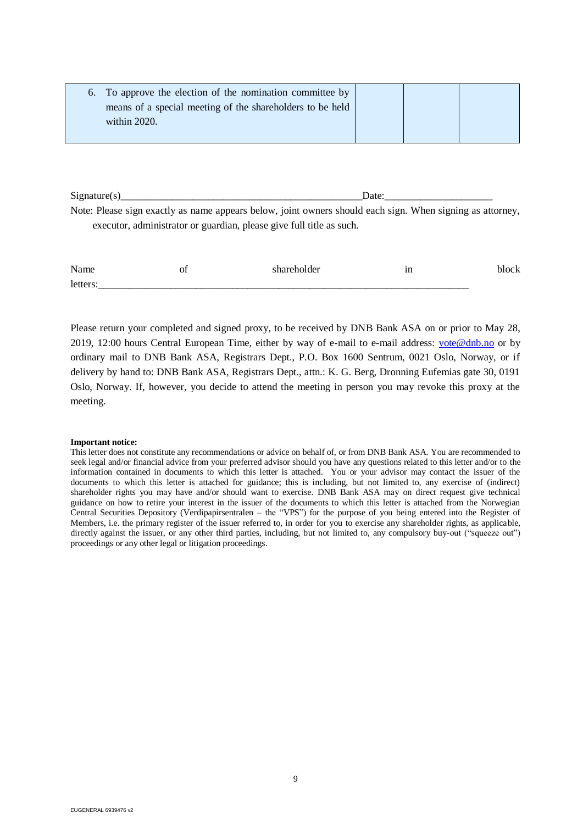| 6. To approve the election of the nomination committee by |  |  |
|-----------------------------------------------------------|--|--|
| means of a special meeting of the shareholders to be held |  |  |
| within 2020.                                              |  |  |
|                                                           |  |  |

 $Signature(s)$  Date: Note: Please sign exactly as name appears below, joint owners should each sign. When signing as attorney, executor, administrator or guardian, please give full title as such.

| N<br>. н.<br>l IS | O1<br>__ | . | --<br>ш  |  |
|-------------------|----------|---|----------|--|
| IΑ                |          |   | ________ |  |

Please return your completed and signed proxy, to be received by DNB Bank ASA on or prior to May 28, 2019, 12:00 hours Central European Time, either by way of e-mail to e-mail address: [vote@dnb.no](mailto:vote@dnb.no) or by ordinary mail to DNB Bank ASA, Registrars Dept., P.O. Box 1600 Sentrum, 0021 Oslo, Norway, or if delivery by hand to: DNB Bank ASA, Registrars Dept., attn.: K. G. Berg, Dronning Eufemias gate 30, 0191 Oslo, Norway. If, however, you decide to attend the meeting in person you may revoke this proxy at the meeting.

#### **Important notice:**

This letter does not constitute any recommendations or advice on behalf of, or from DNB Bank ASA. You are recommended to seek legal and/or financial advice from your preferred advisor should you have any questions related to this letter and/or to the information contained in documents to which this letter is attached. You or your advisor may contact the issuer of the documents to which this letter is attached for guidance; this is including, but not limited to, any exercise of (indirect) shareholder rights you may have and/or should want to exercise. DNB Bank ASA may on direct request give technical guidance on how to retire your interest in the issuer of the documents to which this letter is attached from the Norwegian Central Securities Depository (Verdipapirsentralen – the "VPS") for the purpose of you being entered into the Register of Members, i.e. the primary register of the issuer referred to, in order for you to exercise any shareholder rights, as applicable, directly against the issuer, or any other third parties, including, but not limited to, any compulsory buy-out ("squeeze out") proceedings or any other legal or litigation proceedings.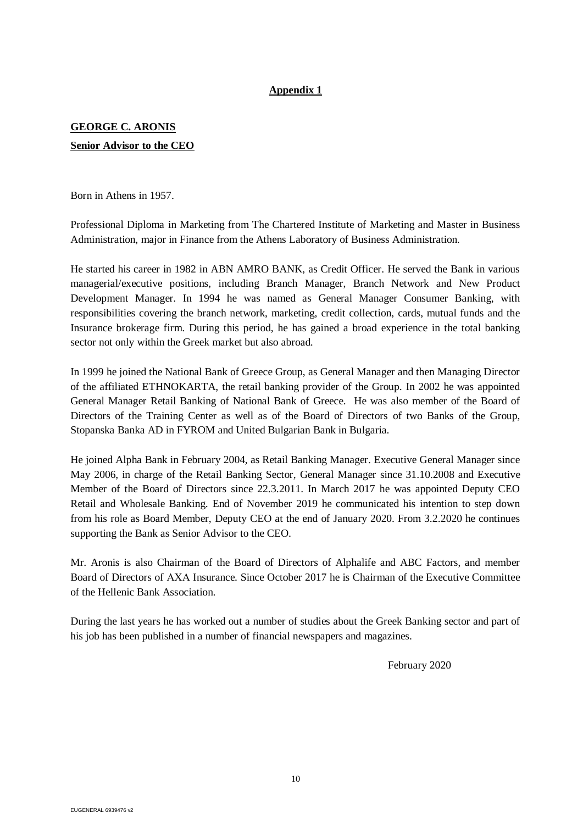# **Appendix 1**

# **GEORGE C. ARONIS Senior Advisor to the CEO**

Born in Athens in 1957.

Professional Diploma in Marketing from The Chartered Institute of Marketing and Master in Business Administration, major in Finance from the Athens Laboratory of Business Administration.

He started his career in 1982 in ABN AMRO BANK, as Credit Officer. He served the Bank in various managerial/executive positions, including Branch Manager, Branch Network and New Product Development Manager. In 1994 he was named as General Manager Consumer Banking, with responsibilities covering the branch network, marketing, credit collection, cards, mutual funds and the Insurance brokerage firm. During this period, he has gained a broad experience in the total banking sector not only within the Greek market but also abroad.

In 1999 he joined the National Bank of Greece Group, as General Manager and then Managing Director of the affiliated ETHNOKARTA, the retail banking provider of the Group. In 2002 he was appointed General Manager Retail Banking of National Bank of Greece. He was also member of the Board of Directors of the Training Center as well as of the Board of Directors of two Banks of the Group, Stopanska Banka AD in FYROM and United Bulgarian Bank in Bulgaria.

He joined Alpha Bank in February 2004, as Retail Banking Manager. Executive General Manager since May 2006, in charge of the Retail Banking Sector, General Manager since 31.10.2008 and Executive Member of the Board of Directors since 22.3.2011. In March 2017 he was appointed Deputy CEO Retail and Wholesale Banking. End of November 2019 he communicated his intention to step down from his role as Board Member, Deputy CEO at the end of January 2020. From 3.2.2020 he continues supporting the Bank as Senior Advisor to the CEO.

Mr. Aronis is also Chairman of the Board of Directors of Alphalife and ABC Factors, and member Board of Directors of ΑΧΑ Insurance. Since October 2017 he is Chairman of the Executive Committee of the Hellenic Bank Association.

During the last years he has worked out a number of studies about the Greek Banking sector and part of his job has been published in a number of financial newspapers and magazines.

February 2020